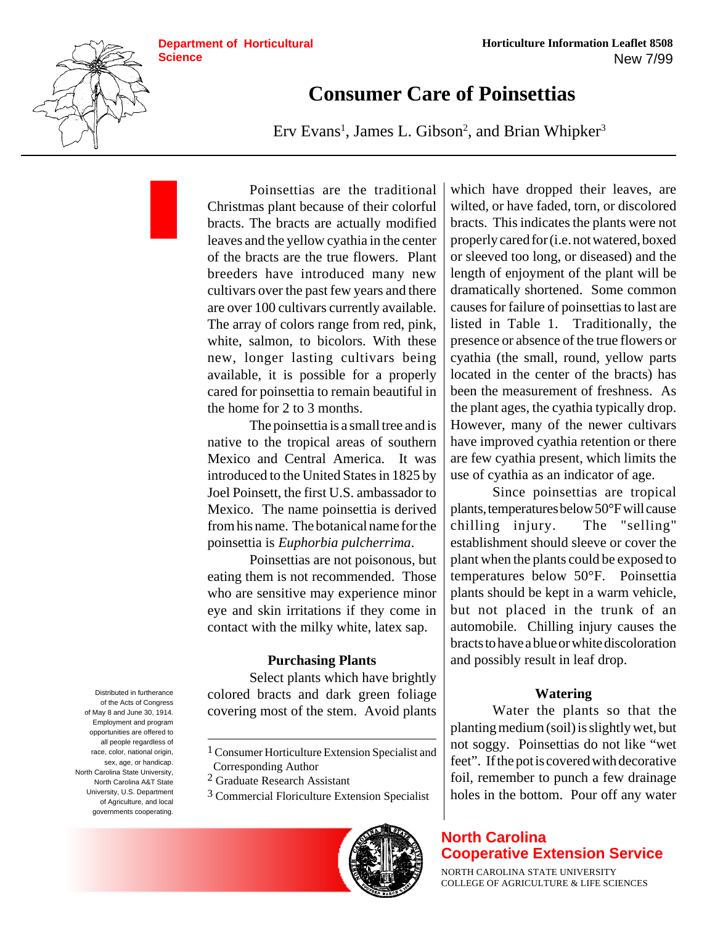

# **Consumer Care of Poinsettias**

Erv Evans<sup>1</sup>, James L. Gibson<sup>2</sup>, and Brian Whipker<sup>3</sup>

Poinsettias are the traditional Christmas plant because of their colorful bracts. The bracts are actually modified leaves and the yellow cyathia in the center of the bracts are the true flowers. Plant breeders have introduced many new cultivars over the past few years and there are over 100 cultivars currently available. The array of colors range from red, pink, white, salmon, to bicolors. With these new, longer lasting cultivars being available, it is possible for a properly cared for poinsettia to remain beautiful in the home for 2 to 3 months.

The poinsettia is a small tree and is native to the tropical areas of southern Mexico and Central America. It was introduced to the United States in 1825 by Joel Poinsett, the first U.S. ambassador to Mexico. The name poinsettia is derived from his name. The botanical name for the poinsettia is *Euphorbia pulcherrima*.

Poinsettias are not poisonous, but eating them is not recommended. Those who are sensitive may experience minor eye and skin irritations if they come in contact with the milky white, latex sap.

## **Purchasing Plants**

Select plants which have brightly colored bracts and dark green foliage covering most of the stem. Avoid plants

3 Commercial Floriculture Extension Specialist



which have dropped their leaves, are wilted, or have faded, torn, or discolored bracts. This indicates the plants were not properly cared for (i.e. not watered, boxed or sleeved too long, or diseased) and the length of enjoyment of the plant will be dramatically shortened. Some common causes for failure of poinsettias to last are listed in Table 1. Traditionally, the presence or absence of the true flowers or cyathia (the small, round, yellow parts located in the center of the bracts) has been the measurement of freshness. As the plant ages, the cyathia typically drop. However, many of the newer cultivars have improved cyathia retention or there are few cyathia present, which limits the use of cyathia as an indicator of age.

Since poinsettias are tropical plants, temperatures below 50°F will cause chilling injury. The "selling" establishment should sleeve or cover the plant when the plants could be exposed to temperatures below 50°F. Poinsettia plants should be kept in a warm vehicle, but not placed in the trunk of an automobile. Chilling injury causes the bracts to have a blue or white discoloration and possibly result in leaf drop.

## **Watering**

Water the plants so that the planting medium (soil) is slightly wet, but not soggy. Poinsettias do not like "wet feet". If the pot is covered with decorative foil, remember to punch a few drainage holes in the bottom. Pour off any water

# **North Carolina Cooperative Extension Service**

NORTH CAROLINA STATE UNIVERSITY COLLEGE OF AGRICULTURE & LIFE SCIENCES

Distributed in furtherance of the Acts of Congress of May 8 and June 30, 1914. Employment and program opportunities are offered to all people regardless of race, color, national origin, sex, age, or handicap. North Carolina State University, North Carolina A&T State University, U.S. Department of Agriculture, and local governments cooperating.

<sup>1</sup> Consumer Horticulture Extension Specialist and Corresponding Author

<sup>2</sup> Graduate Research Assistant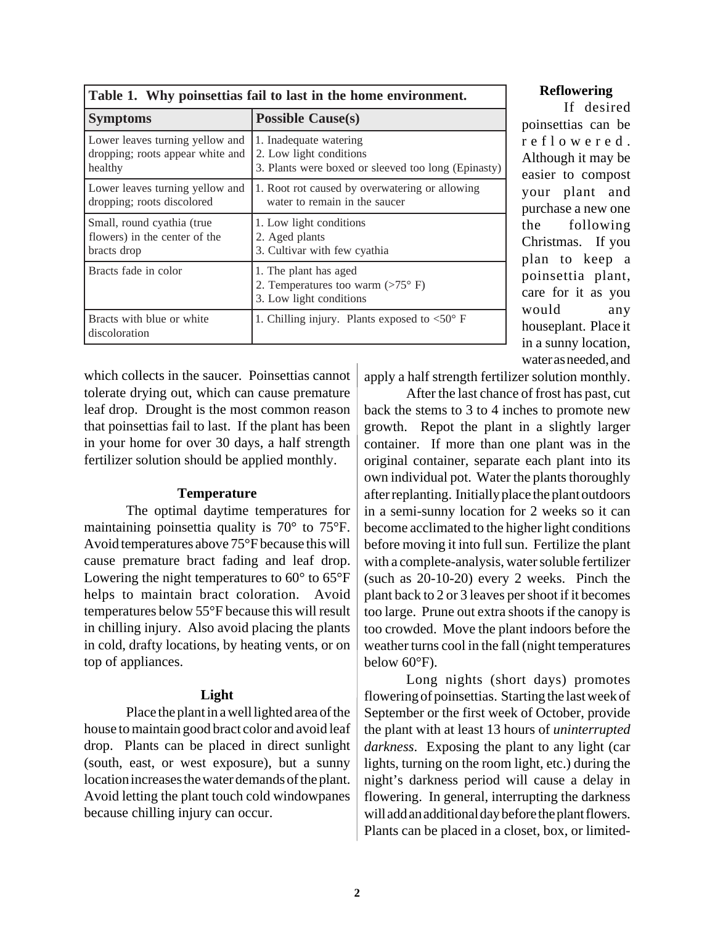| Table 1. Why poinsettias fail to last in the home environment.                 |                                                                                                          |
|--------------------------------------------------------------------------------|----------------------------------------------------------------------------------------------------------|
| <b>Symptoms</b>                                                                | <b>Possible Cause(s)</b>                                                                                 |
| Lower leaves turning yellow and<br>dropping; roots appear white and<br>healthy | 1. Inadequate watering<br>2. Low light conditions<br>3. Plants were boxed or sleeved too long (Epinasty) |
| Lower leaves turning yellow and<br>dropping; roots discolored                  | 1. Root rot caused by overwatering or allowing<br>water to remain in the saucer                          |
| Small, round cyathia (true<br>flowers) in the center of the<br>bracts drop     | 1. Low light conditions<br>2. Aged plants<br>3. Cultivar with few cyathia                                |
| Bracts fade in color                                                           | 1. The plant has aged<br>2. Temperatures too warm $(>75^{\circ} \text{ F})$<br>3. Low light conditions   |
| Bracts with blue or white<br>discoloration                                     | 1. Chilling injury. Plants exposed to $\langle 50^\circ \text{F} \rangle$                                |

## **Table 1. Why poinsettias fail to last in the home environment.**

which collects in the saucer. Poinsettias cannot tolerate drying out, which can cause premature leaf drop. Drought is the most common reason that poinsettias fail to last. If the plant has been in your home for over 30 days, a half strength fertilizer solution should be applied monthly.

#### **Temperature**

The optimal daytime temperatures for maintaining poinsettia quality is 70° to 75°F. Avoid temperatures above 75°F because this will cause premature bract fading and leaf drop. Lowering the night temperatures to 60° to 65°F helps to maintain bract coloration. Avoid temperatures below 55°F because this will result in chilling injury. Also avoid placing the plants in cold, drafty locations, by heating vents, or on top of appliances.

## **Light**

Place the plant in a well lighted area of the house to maintain good bract color and avoid leaf drop. Plants can be placed in direct sunlight (south, east, or west exposure), but a sunny location increases the water demands of the plant. Avoid letting the plant touch cold windowpanes because chilling injury can occur.

#### **Reflowering**

If desired poinsettias can be reflowered. Although it may be easier to compost your plant and purchase a new one the following Christmas. If you plan to keep a poinsettia plant, care for it as you would any houseplant. Place it in a sunny location, water as needed, and

apply a half strength fertilizer solution monthly.

After the last chance of frost has past, cut back the stems to 3 to 4 inches to promote new growth. Repot the plant in a slightly larger container. If more than one plant was in the original container, separate each plant into its own individual pot. Water the plants thoroughly after replanting. Initially place the plant outdoors in a semi-sunny location for 2 weeks so it can become acclimated to the higher light conditions before moving it into full sun. Fertilize the plant with a complete-analysis, water soluble fertilizer (such as 20-10-20) every 2 weeks. Pinch the plant back to 2 or 3 leaves per shoot if it becomes too large. Prune out extra shoots if the canopy is too crowded. Move the plant indoors before the weather turns cool in the fall (night temperatures below 60°F).

Long nights (short days) promotes flowering of poinsettias. Starting the last week of September or the first week of October, provide the plant with at least 13 hours of *uninterrupted darkness*. Exposing the plant to any light (car lights, turning on the room light, etc.) during the night's darkness period will cause a delay in flowering. In general, interrupting the darkness will add an additional day before the plant flowers. Plants can be placed in a closet, box, or limited